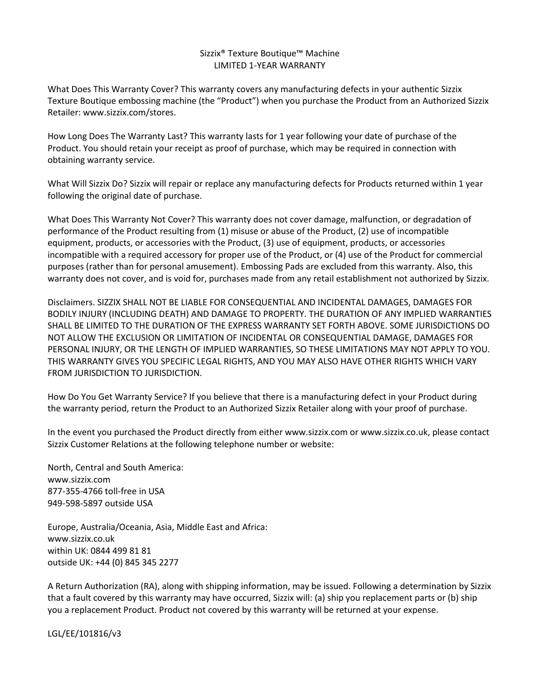## Sizzix® Texture Boutique™ Machine LIMITED 1-YEAR WARRANTY

What Does This Warranty Cover? This warranty covers any manufacturing defects in your authentic Sizzix Texture Boutique embossing machine (the "Product") when you purchase the Product from an Authorized Sizzix Retailer: www.sizzix.com/stores.

How Long Does The Warranty Last? This warranty lasts for 1 year following your date of purchase of the Product. You should retain your receipt as proof of purchase, which may be required in connection with obtaining warranty service.

What Will Sizzix Do? Sizzix will repair or replace any manufacturing defects for Products returned within 1 year following the original date of purchase.

What Does This Warranty Not Cover? This warranty does not cover damage, malfunction, or degradation of performance of the Product resulting from (1) misuse or abuse of the Product, (2) use of incompatible equipment, products, or accessories with the Product, (3) use of equipment, products, or accessories incompatible with a required accessory for proper use of the Product, or (4) use of the Product for commercial purposes (rather than for personal amusement). Embossing Pads are excluded from this warranty. Also, this warranty does not cover, and is void for, purchases made from any retail establishment not authorized by Sizzix.

Disclaimers. SIZZIX SHALL NOT BE LIABLE FOR CONSEQUENTIAL AND INCIDENTAL DAMAGES, DAMAGES FOR BODILY INJURY (INCLUDING DEATH) AND DAMAGE TO PROPERTY. THE DURATION OF ANY IMPLIED WARRANTIES SHALL BE LIMITED TO THE DURATION OF THE EXPRESS WARRANTY SET FORTH ABOVE. SOME JURISDICTIONS DO NOT ALLOW THE EXCLUSION OR LIMITATION OF INCIDENTAL OR CONSEQUENTIAL DAMAGE, DAMAGES FOR PERSONAL INJURY, OR THE LENGTH OF IMPLIED WARRANTIES, SO THESE LIMITATIONS MAY NOT APPLY TO YOU. THIS WARRANTY GIVES YOU SPECIFIC LEGAL RIGHTS, AND YOU MAY ALSO HAVE OTHER RIGHTS WHICH VARY FROM JURISDICTION TO JURISDICTION.

How Do You Get Warranty Service? If you believe that there is a manufacturing defect in your Product during the warranty period, return the Product to an Authorized Sizzix Retailer along with your proof of purchase.

In the event you purchased the Product directly from either www.sizzix.com or www.sizzix.co.uk, please contact Sizzix Customer Relations at the following telephone number or website:

North, Central and South America: www.sizzix.com 877-355-4766 toll-free in USA 949-598-5897 outside USA

Europe, Australia/Oceania, Asia, Middle East and Africa: www.sizzix.co.uk within UK: 0844 499 81 81 outside UK: +44 (0) 845 345 2277

A Return Authorization (RA), along with shipping information, may be issued. Following a determination by Sizzix that a fault covered by this warranty may have occurred, Sizzix will: (a) ship you replacement parts or (b) ship you a replacement Product. Product not covered by this warranty will be returned at your expense.

LGL/EE/101816/v3